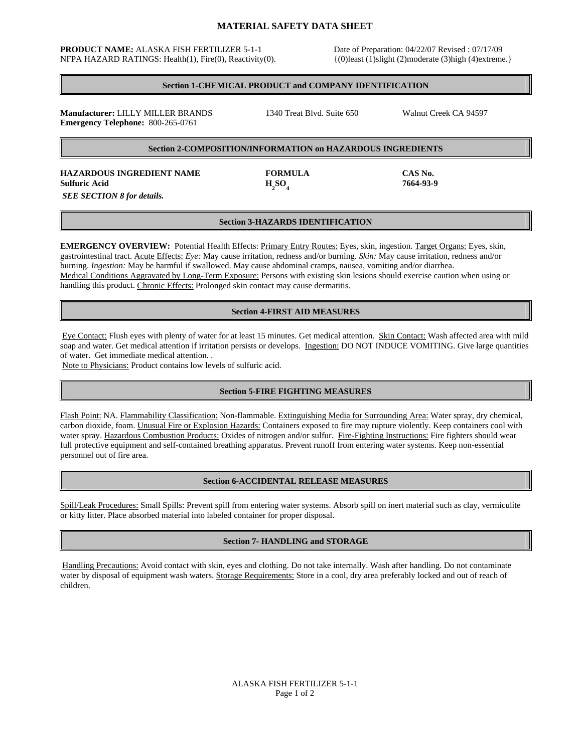# **MATERIAL SAFETY DATA SHEET**

#### **PRODUCT NAME:** ALASKA FISH FERTILIZER 5-1-1 Date of Preparation: 04/22/07 Revised : 07/17/09 NFPA HAZARD RATINGS: Health(1), Fire(0), Reactivity(0). {(0)least (1)slight (2)moderate (3)high (4)extreme.}

**SO4 7664-93-9** 

## **Section 1-CHEMICAL PRODUCT and COMPANY IDENTIFICATION**

**Manufacturer:** LILLY MILLER BRANDS 1340 Treat Blvd. Suite 650 Walnut Creek CA 94597 **Emergency Telephone:** 800-265-0761

## **Section 2-COMPOSITION/INFORMATION on HAZARDOUS INGREDIENTS**

**HAZARDOUS INGREDIENT NAME FORMULA CAS No.** Sulfuric Acid **H<sub>2</sub>SO<sub>4</sub>**  *SEE SECTION 8 for details.* 

## **Section 3-HAZARDS IDENTIFICATION**

**EMERGENCY OVERVIEW:** Potential Health Effects: Primary Entry Routes: Eyes, skin, ingestion. Target Organs: Eyes, skin, gastrointestinal tract. Acute Effects: *Eye:* May cause irritation, redness and/or burning. *Skin:* May cause irritation, redness and/or burning. *Ingestion:* May be harmful if swallowed. May cause abdominal cramps, nausea, vomiting and/or diarrhea. Medical Conditions Aggravated by Long-Term Exposure: Persons with existing skin lesions should exercise caution when using or handling this product. Chronic Effects: Prolonged skin contact may cause dermatitis.

## **Section 4-FIRST AID MEASURES**

Eye Contact: Flush eyes with plenty of water for at least 15 minutes. Get medical attention. Skin Contact: Wash affected area with mild soap and water. Get medical attention if irritation persists or develops. Ingestion: DO NOT INDUCE VOMITING. Give large quantities of water. Get immediate medical attention. *.* 

Note to Physicians: Product contains low levels of sulfuric acid.

## **Section 5-FIRE FIGHTING MEASURES**

Flash Point: NA. Flammability Classification: Non-flammable. Extinguishing Media for Surrounding Area: Water spray, dry chemical, carbon dioxide, foam. Unusual Fire or Explosion Hazards: Containers exposed to fire may rupture violently. Keep containers cool with water spray. Hazardous Combustion Products: Oxides of nitrogen and/or sulfur. Fire-Fighting Instructions: Fire fighters should wear full protective equipment and self-contained breathing apparatus. Prevent runoff from entering water systems. Keep non-essential personnel out of fire area.

## **Section 6-ACCIDENTAL RELEASE MEASURES**

Spill/Leak Procedures: Small Spills: Prevent spill from entering water systems. Absorb spill on inert material such as clay, vermiculite or kitty litter. Place absorbed material into labeled container for proper disposal.

## **Section 7- HANDLING and STORAGE**

Handling Precautions: Avoid contact with skin, eyes and clothing. Do not take internally. Wash after handling. Do not contaminate water by disposal of equipment wash waters. Storage Requirements: Store in a cool, dry area preferably locked and out of reach of children.